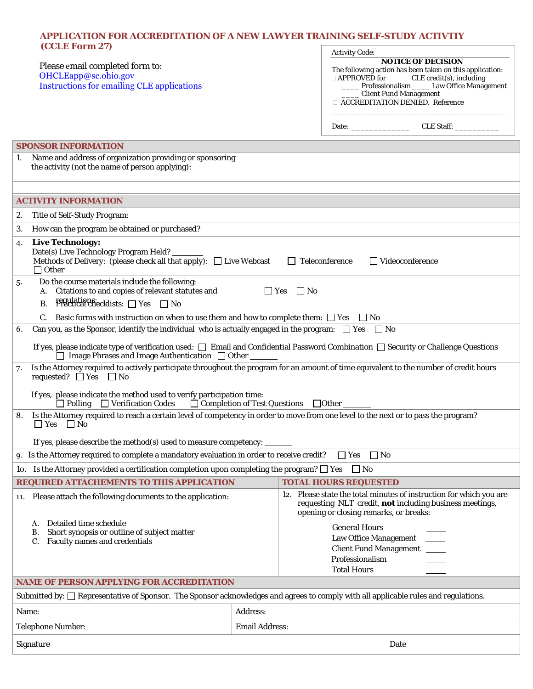## **APPLICATION FOR ACCREDITATION OF A NEW LAWYER TRAINING SELF-STUDY ACTIVTIY (CCLE Form 27)**   $\Gamma$

|                                                                                                                                                                                 |                       | <b>Activity Code:</b>                                                                                                                                                    |
|---------------------------------------------------------------------------------------------------------------------------------------------------------------------------------|-----------------------|--------------------------------------------------------------------------------------------------------------------------------------------------------------------------|
| Please email completed form to:<br>OHCLEapp@sc.ohio.gov                                                                                                                         |                       | <b>NOTICE OF DECISION</b><br>The following action has been taken on this application:                                                                                    |
| Instructions for emailing CLE applications                                                                                                                                      |                       | □ APPROVED for _______ CLE credit(s), including<br>Professionalism _____ Law Office Management                                                                           |
|                                                                                                                                                                                 |                       | <b>Client Fund Management</b><br><b>EXECUTEDITATION DENIED. Reference</b>                                                                                                |
|                                                                                                                                                                                 |                       |                                                                                                                                                                          |
|                                                                                                                                                                                 |                       |                                                                                                                                                                          |
| <b>SPONSOR INFORMATION</b>                                                                                                                                                      |                       |                                                                                                                                                                          |
| Name and address of organization providing or sponsoring<br>1.                                                                                                                  |                       |                                                                                                                                                                          |
| the activity (not the name of person applying):                                                                                                                                 |                       |                                                                                                                                                                          |
|                                                                                                                                                                                 |                       |                                                                                                                                                                          |
| <b>ACTIVITY INFORMATION</b>                                                                                                                                                     |                       |                                                                                                                                                                          |
| 2.<br>Title of Self-Study Program:                                                                                                                                              |                       |                                                                                                                                                                          |
| How can the program be obtained or purchased?<br>3.                                                                                                                             |                       |                                                                                                                                                                          |
| <b>Live Technology:</b><br>4.                                                                                                                                                   |                       |                                                                                                                                                                          |
| Date(s) Live Technology Program Held? _______<br>Methods of Delivery: (please check all that apply): $\Box$ Live Webcast<br>$\Box$ Teleconference<br>$\Box$ Videoconference     |                       |                                                                                                                                                                          |
| $\Box$ Other                                                                                                                                                                    |                       |                                                                                                                                                                          |
| Do the course materials include the following:<br>5.<br>A. Citations to and copies of relevant statutes and<br>$\Box$ Yes<br>$\Box$ No                                          |                       |                                                                                                                                                                          |
| $Pf$ achations: $\Box$ Yes $\Box$ No<br><b>B.</b>                                                                                                                               |                       |                                                                                                                                                                          |
| C. Basic forms with instruction on when to use them and how to complete them: $\Box$ Yes $\Box$ No                                                                              |                       |                                                                                                                                                                          |
| Can you, as the Sponsor, identify the individual who is actually engaged in the program: $\Box$ Yes $\Box$ No<br>6.                                                             |                       |                                                                                                                                                                          |
| If yes, please indicate type of verification used: $\Box$ Email and Confidential Password Combination $\Box$ Security or Challenge Questions                                    |                       |                                                                                                                                                                          |
| $\Box$ Image Phrases and Image Authentication $\Box$ Other                                                                                                                      |                       |                                                                                                                                                                          |
| Is the Attorney required to actively participate throughout the program for an amount of time equivalent to the number of credit hours<br>7.<br>requested? $\Box$ Yes $\Box$ No |                       |                                                                                                                                                                          |
| If yes, please indicate the method used to verify participation time:<br>$\Box$ Polling $\Box$ Verification Codes $\Box$ Completion of Test Questions $\Box$ Other $\Box$       |                       |                                                                                                                                                                          |
| Is the Attorney required to reach a certain level of competency in order to move from one level to the next or to pass the program?<br>8.<br>$\Box$ Yes $\Box$ No               |                       |                                                                                                                                                                          |
| If yes, please describe the method(s) used to measure competency:                                                                                                               |                       |                                                                                                                                                                          |
| 9. Is the Attorney required to complete a mandatory evaluation in order to receive credit?<br>$\Box$ Yes<br>$\Box$ No                                                           |                       |                                                                                                                                                                          |
| 10. Is the Attorney provided a certification completion upon completing the program? $\square$ Yes<br>$\Box$ No                                                                 |                       |                                                                                                                                                                          |
| REQUIRED ATTACHEMENTS TO THIS APPLICATION                                                                                                                                       |                       | <b>TOTAL HOURS REQUESTED</b>                                                                                                                                             |
| 11. Please attach the following documents to the application:                                                                                                                   |                       | 12. Please state the total minutes of instruction for which you are<br>requesting NLT credit, not including business meetings,<br>opening or closing remarks, or breaks: |
| Detailed time schedule<br>А.                                                                                                                                                    |                       | <b>General Hours</b>                                                                                                                                                     |
| Short synopsis or outline of subject matter<br>В.<br>Faculty names and credentials                                                                                              |                       | Law Office Management                                                                                                                                                    |
|                                                                                                                                                                                 |                       | <b>Client Fund Management</b>                                                                                                                                            |
|                                                                                                                                                                                 |                       | Professionalism<br><b>Total Hours</b>                                                                                                                                    |
| <b>NAME OF PERSON APPLYING FOR ACCREDITATION</b>                                                                                                                                |                       |                                                                                                                                                                          |
| Submitted by: □ Representative of Sponsor. The Sponsor acknowledges and agrees to comply with all applicable rules and regulations.                                             |                       |                                                                                                                                                                          |
| <b>Address:</b><br>Name:                                                                                                                                                        |                       |                                                                                                                                                                          |
| <b>Telephone Number:</b>                                                                                                                                                        | <b>Email Address:</b> |                                                                                                                                                                          |
|                                                                                                                                                                                 |                       |                                                                                                                                                                          |
| Signature<br>Date                                                                                                                                                               |                       |                                                                                                                                                                          |